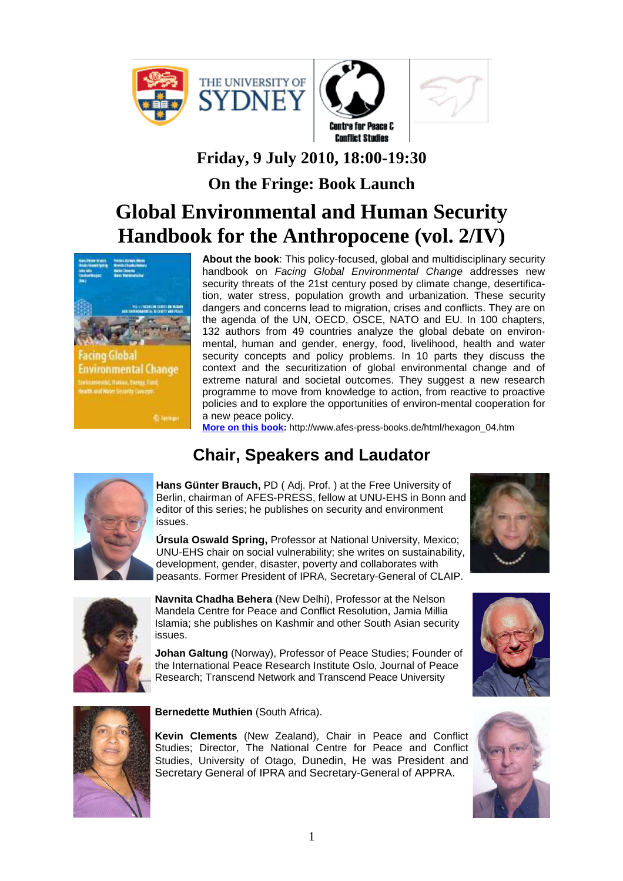



## **Friday, 9 July 2010, 18:00-19:30**

**On the Fringe: Book Launch** 

# **Global Environmental and Human Security Handbook for the Anthropocene (vol. 2/IV)**



acino Globa **Environmental Change** 

Spreen:

**About the book**: This policy-focused, global and multidisciplinary security handbook on Facing Global Environmental Change addresses new security threats of the 21st century posed by climate change, desertification, water stress, population growth and urbanization. These security dangers and concerns lead to migration, crises and conflicts. They are on the agenda of the UN, OECD, OSCE, NATO and EU. In 100 chapters, 132 authors from 49 countries analyze the global debate on environmental, human and gender, energy, food, livelihood, health and water security concepts and policy problems. In 10 parts they discuss the context and the securitization of global environmental change and of extreme natural and societal outcomes. They suggest a new research programme to move from knowledge to action, from reactive to proactive policies and to explore the opportunities of environ-mental cooperation for a new peace policy.

**More on this book:** http://www.afes-press-books.de/html/hexagon\_04.htm

## **Chair, Speakers and Laudator**



**Hans Günter Brauch,** PD ( Adj. Prof. ) at the Free University of Berlin, chairman of AFES-PRESS, fellow at UNU-EHS in Bonn and editor of this series; he publishes on security and environment issues.



**Úrsula Oswald Spring,** Professor at National University, Mexico; UNU-EHS chair on social vulnerability; she writes on sustainability, development, gender, disaster, poverty and collaborates with peasants. Former President of IPRA, Secretary-General of CLAIP.



**Navnita Chadha Behera** (New Delhi), Professor at the Nelson Mandela Centre for Peace and Conflict Resolution, Jamia Millia Islamia; she publishes on Kashmir and other South Asian security issues.

**Johan Galtung** (Norway), Professor of Peace Studies; Founder of the International Peace Research Institute Oslo, Journal of Peace Research; Transcend Network and Transcend Peace University



**Bernedette Muthien** (South Africa).

**Kevin Clements** (New Zealand), Chair in Peace and Conflict Studies; Director, The National Centre for Peace and Conflict Studies, University of Otago, Dunedin, He was President and Secretary General of IPRA and Secretary-General of APPRA.



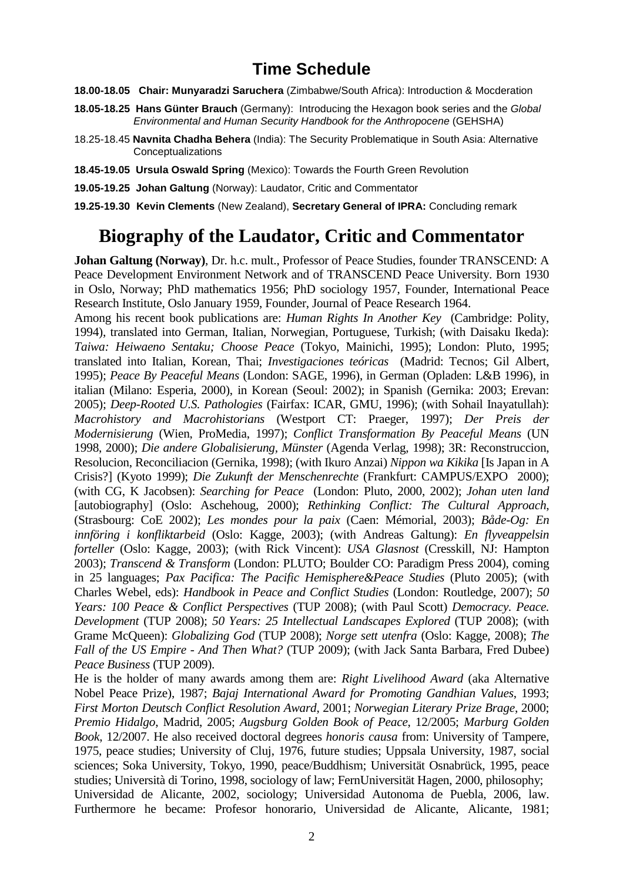#### **Time Schedule**

- **18.00-18.05 Chair: Munyaradzi Saruchera** (Zimbabwe/South Africa): Introduction & Mocderation
- **18.05-18.25 Hans Günter Brauch** (Germany):Introducing the Hexagon book series and the Global Environmental and Human Security Handbook for the Anthropocene (GEHSHA)
- 18.25-18.45 **Navnita Chadha Behera** (India): The Security Problematique in South Asia: Alternative Conceptualizations
- **18.45-19.05 Ursula Oswald Spring** (Mexico): Towards the Fourth Green Revolution
- **19.05-19.25 Johan Galtung** (Norway): Laudator, Critic and Commentator
- **19.25-19.30 Kevin Clements** (New Zealand), **Secretary General of IPRA:** Concluding remark

### **Biography of the Laudator, Critic and Commentator**

**Johan Galtung (Norway)**, Dr. h.c. mult., Professor of Peace Studies, founder TRANSCEND: A Peace Development Environment Network and of TRANSCEND Peace University. Born 1930 in Oslo, Norway; PhD mathematics 1956; PhD sociology 1957, Founder, International Peace Research Institute, Oslo January 1959, Founder, Journal of Peace Research 1964.

Among his recent book publications are: *Human Rights In Another Key* (Cambridge: Polity, 1994), translated into German, Italian, Norwegian, Portuguese, Turkish; (with Daisaku Ikeda): *Taiwa: Heiwaeno Sentaku; Choose Peace* (Tokyo, Mainichi, 1995); London: Pluto, 1995; translated into Italian, Korean, Thai; *Investigaciones teóricas* (Madrid: Tecnos; Gil Albert, 1995); *Peace By Peaceful Means* (London: SAGE, 1996), in German (Opladen: L&B 1996), in italian (Milano: Esperia, 2000), in Korean (Seoul: 2002); in Spanish (Gernika: 2003; Erevan: 2005); *Deep-Rooted U.S. Pathologies* (Fairfax: ICAR, GMU, 1996); (with Sohail Inayatullah): *Macrohistory and Macrohistorians* (Westport CT: Praeger, 1997); *Der Preis der Modernisierung* (Wien, ProMedia, 1997); *Conflict Transformation By Peaceful Means* (UN 1998, 2000); *Die andere Globalisierung, Münster* (Agenda Verlag, 1998); 3R: Reconstruccion, Resolucion, Reconciliacion (Gernika, 1998); (with Ikuro Anzai) *Nippon wa Kikika* [Is Japan in A Crisis?] (Kyoto 1999); *Die Zukunft der Menschenrechte* (Frankfurt: CAMPUS/EXPO 2000); (with CG, K Jacobsen): *Searching for Peace* (London: Pluto, 2000, 2002); *Johan uten land* [autobiography] (Oslo: Aschehoug, 2000); *Rethinking Conflict: The Cultural Approach*, (Strasbourg: CoE 2002); *Les mondes pour la paix* (Caen: Mémorial, 2003); *Både-Og: En innföring i konfliktarbeid* (Oslo: Kagge, 2003); (with Andreas Galtung): *En flyveappelsin forteller* (Oslo: Kagge, 2003); (with Rick Vincent): *USA Glasnost* (Cresskill, NJ: Hampton 2003); *Transcend & Transform* (London: PLUTO; Boulder CO: Paradigm Press 2004), coming in 25 languages; *Pax Pacifica: The Pacific Hemisphere&Peace Studies* (Pluto 2005); (with Charles Webel, eds): *Handbook in Peace and Conflict Studies* (London: Routledge, 2007); *50 Years: 100 Peace & Conflict Perspectives* (TUP 2008); (with Paul Scott) *Democracy. Peace. Development* (TUP 2008); *50 Years: 25 Intellectual Landscapes Explored* (TUP 2008); (with Grame McQueen): *Globalizing God* (TUP 2008); *Norge sett utenfra* (Oslo: Kagge, 2008); *The Fall of the US Empire - And Then What?* (TUP 2009); (with Jack Santa Barbara, Fred Dubee) *Peace Business* (TUP 2009).

He is the holder of many awards among them are: *Right Livelihood Award* (aka Alternative Nobel Peace Prize), 1987; *Bajaj International Award for Promoting Gandhian Values*, 1993; *First Morton Deutsch Conflict Resolution Award*, 2001; *Norwegian Literary Prize Brage*, 2000; *Premio Hidalgo*, Madrid, 2005; *Augsburg Golden Book of Peace*, 12/2005; *Marburg Golden Book*, 12/2007. He also received doctoral degrees *honoris causa* from: University of Tampere, 1975, peace studies; University of Cluj, 1976, future studies; Uppsala University, 1987, social sciences; Soka University, Tokyo, 1990, peace/Buddhism; Universität Osnabrück, 1995, peace studies; Università di Torino, 1998, sociology of law; FernUniversität Hagen, 2000, philosophy; Universidad de Alicante, 2002, sociology; Universidad Autonoma de Puebla, 2006, law. Furthermore he became: Profesor honorario, Universidad de Alicante, Alicante, 1981;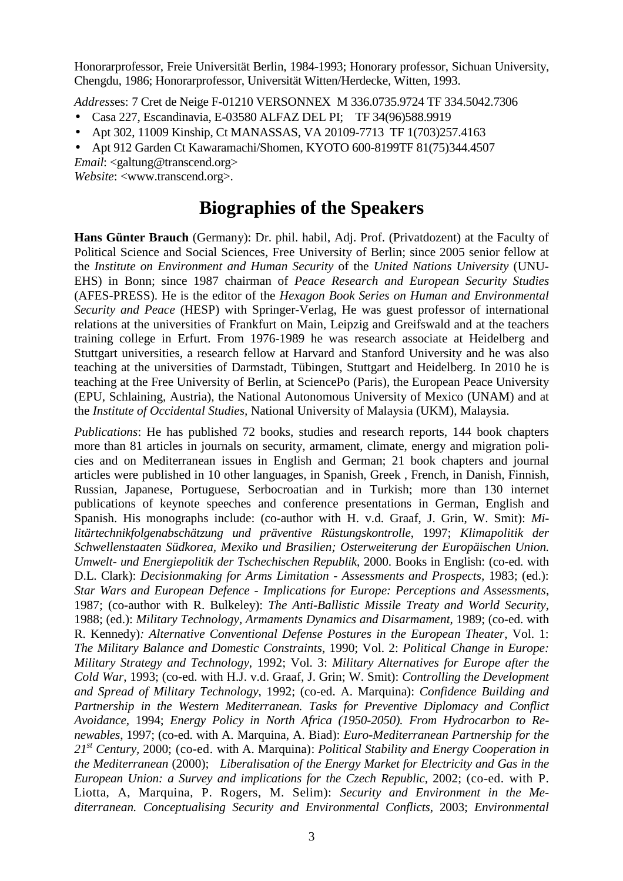Honorarprofessor, Freie Universität Berlin, 1984-1993; Honorary professor, Sichuan University, Chengdu, 1986; Honorarprofessor, Universität Witten/Herdecke, Witten, 1993.

*Address*es: 7 Cret de Neige F-01210 VERSONNEX M 336.0735.9724 TF 334.5042.7306

- Casa 227, Escandinavia, E-03580 ALFAZ DEL PI; TF 34(96)588.9919
- Apt 302, 11009 Kinship, Ct MANASSAS, VA 20109-7713 TF 1(703)257.4163
- Apt 912 Garden Ct Kawaramachi/Shomen, KYOTO 600-8199TF 81(75)344.4507

*Email*: <galtung@transcend.org>

*Website*: <www.transcend.org>.

#### **Biographies of the Speakers**

**Hans Günter Brauch** (Germany): Dr. phil. habil, Adj. Prof. (Privatdozent) at the Faculty of Political Science and Social Sciences, Free University of Berlin; since 2005 senior fellow at the *Institute on Environment and Human Security* of the *United Nations University* (UNU-EHS) in Bonn; since 1987 chairman of *Peace Research and European Security Studies* (AFES-PRESS). He is the editor of the *Hexagon Book Series on Human and Environmental Security and Peace* (HESP) with Springer-Verlag, He was guest professor of international relations at the universities of Frankfurt on Main, Leipzig and Greifswald and at the teachers training college in Erfurt. From 1976-1989 he was research associate at Heidelberg and Stuttgart universities, a research fellow at Harvard and Stanford University and he was also teaching at the universities of Darmstadt, Tübingen, Stuttgart and Heidelberg. In 2010 he is teaching at the Free University of Berlin, at SciencePo (Paris), the European Peace University (EPU, Schlaining, Austria), the National Autonomous University of Mexico (UNAM) and at the *Institute of Occidental Studies,* National University of Malaysia (UKM), Malaysia.

*Publications*: He has published 72 books, studies and research reports, 144 book chapters more than 81 articles in journals on security, armament, climate, energy and migration policies and on Mediterranean issues in English and German; 21 book chapters and journal articles were published in 10 other languages, in Spanish, Greek , French, in Danish, Finnish, Russian, Japanese, Portuguese, Serbocroatian and in Turkish; more than 130 internet publications of keynote speeches and conference presentations in German, English and Spanish. His monographs include: (co-author with H. v.d. Graaf, J. Grin, W. Smit): *Militärtechnikfolgenabschätzung und präventive Rüstungskontrolle*, 1997; *Klimapolitik der Schwellenstaaten Südkorea, Mexiko und Brasilien; Osterweiterung der Europäischen Union. Umwelt- und Energiepolitik der Tschechischen Republik*, 2000. Books in English: (co-ed. with D.L. Clark): *Decisionmaking for Arms Limitation - Assessments and Prospects*, 1983; (ed.): *Star Wars and European Defence - Implications for Europe: Perceptions and Assessments*, 1987; (co-author with R. Bulkeley): *The Anti-Ballistic Missile Treaty and World Security*, 1988; (ed.): *Military Technology, Armaments Dynamics and Disarmament*, 1989; (co-ed. with R. Kennedy)*: Alternative Conventional Defense Postures in the European Theater*, Vol. 1: *The Military Balance and Domestic Constraints*, 1990; Vol. 2: *Political Change in Europe: Military Strategy and Technology*, 1992; Vol. 3: *Military Alternatives for Europe after the Cold War*, 1993; (co-ed. with H.J. v.d. Graaf, J. Grin; W. Smit): *Controlling the Development and Spread of Military Technology*, 1992; (co-ed. A. Marquina): *Confidence Building and Partnership in the Western Mediterranean. Tasks for Preventive Diplomacy and Conflict Avoidance,* 1994; *Energy Policy in North Africa (1950-2050). From Hydrocarbon to Renewables*, 1997; (co-ed. with A. Marquina, A. Biad): *Euro-Mediterranean Partnership for the 21st Century,* 2000; (co-ed. with A. Marquina): *Political Stability and Energy Cooperation in the Mediterranean* (2000); *Liberalisation of the Energy Market for Electricity and Gas in the European Union: a Survey and implications for the Czech Republic,* 2002; (co-ed. with P. Liotta, A, Marquina, P. Rogers, M. Selim): *Security and Environment in the Mediterranean. Conceptualising Security and Environmental Conflicts*, 2003; *Environmental*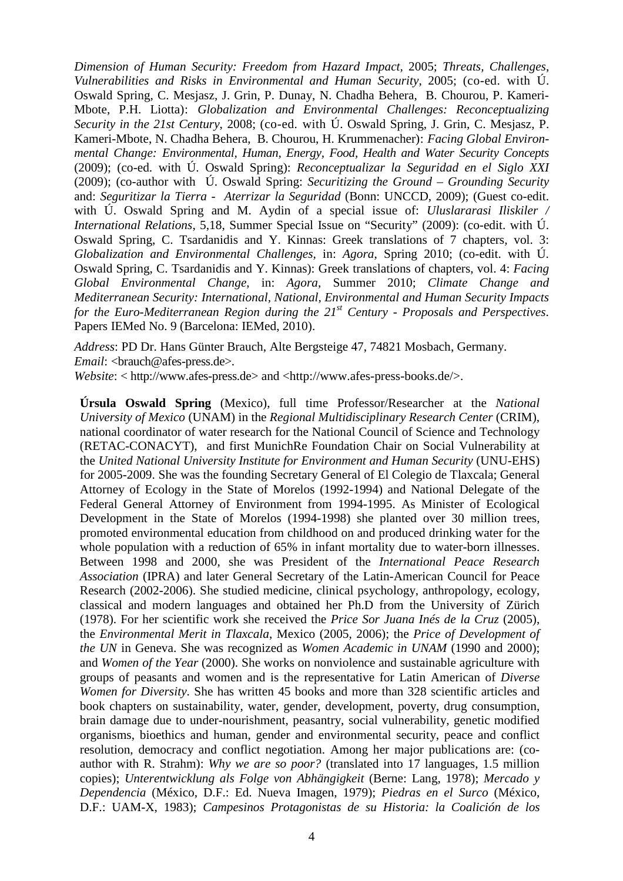*Dimension of Human Security: Freedom from Hazard Impact,* 2005; *Threats, Challenges*, *Vulnerabilities and Risks in Environmental and Human Security*, 2005; (co-ed. with Ú. Oswald Spring, C. Mesjasz, J. Grin, P. Dunay, N. Chadha Behera, B. Chourou, P. Kameri-Mbote, P.H. Liotta): *Globalization and Environmental Challenges: Reconceptualizing Security in the 21st Century*, 2008; (co-ed. with Ú. Oswald Spring, J. Grin, C. Mesjasz, P. Kameri-Mbote, N. Chadha Behera, B. Chourou, H. Krummenacher): *Facing Global Environmental Change: Environmental, Human, Energy, Food, Health and Water Security Concepts* (2009); (co-ed. with Ú. Oswald Spring): *Reconceptualizar la Seguridad en el Siglo XXI* (2009); (co-author with Ú. Oswald Spring: *Securitizing the Ground – Grounding Security* and: *Seguritizar la Tierra - Aterrizar la Seguridad* (Bonn: UNCCD, 2009); (Guest co-edit. with Ú. Oswald Spring and M. Aydin of a special issue of: *Uluslararasi Iliskiler / International Relations*, 5,18, Summer Special Issue on "Security" (2009): (co-edit. with U. Oswald Spring, C. Tsardanidis and Y. Kinnas: Greek translations of 7 chapters, vol. 3: *Globalization and Environmental Challenges*, in: *Agora*, Spring 2010; (co-edit. with Ú. Oswald Spring, C. Tsardanidis and Y. Kinnas): Greek translations of chapters, vol. 4: *Facing Global Environmental Change*, in: *Agora*, Summer 2010; *Climate Change and Mediterranean Security: International, National, Environmental and Human Security Impacts for the Euro-Mediterranean Region during the 21st Century - Proposals and Perspectives*. Papers IEMed No. 9 (Barcelona: IEMed, 2010).

*Address*: PD Dr. Hans Günter Brauch, Alte Bergsteige 47, 74821 Mosbach, Germany. *Email*: <br />  $\Diamond$  afes-press.de>.

*Website*: < http://www.afes-press.de> and <http://www.afes-press-books.de/>.

**Úrsula Oswald Spring** (Mexico), full time Professor/Researcher at the *National University of Mexico* (UNAM) in the *Regional Multidisciplinary Research Center* (CRIM), national coordinator of water research for the National Council of Science and Technology (RETAC-CONACYT), and first MunichRe Foundation Chair on Social Vulnerability at the *United National University Institute for Environment and Human Security* (UNU-EHS) for 2005-2009. She was the founding Secretary General of El Colegio de Tlaxcala; General Attorney of Ecology in the State of Morelos (1992-1994) and National Delegate of the Federal General Attorney of Environment from 1994-1995. As Minister of Ecological Development in the State of Morelos (1994-1998) she planted over 30 million trees, promoted environmental education from childhood on and produced drinking water for the whole population with a reduction of 65% in infant mortality due to water-born illnesses. Between 1998 and 2000, she was President of the *International Peace Research Association* (IPRA) and later General Secretary of the Latin-American Council for Peace Research (2002-2006). She studied medicine, clinical psychology, anthropology, ecology, classical and modern languages and obtained her Ph.D from the University of Zürich (1978). For her scientific work she received the *Price Sor Juana Inés de la Cruz* (2005), the *Environmental Merit in Tlaxcala*, Mexico (2005, 2006); the *Price of Development of the UN* in Geneva. She was recognized as *Women Academic in UNAM* (1990 and 2000); and *Women of the Year* (2000). She works on nonviolence and sustainable agriculture with groups of peasants and women and is the representative for Latin American of *Diverse Women for Diversity*. She has written 45 books and more than 328 scientific articles and book chapters on sustainability, water, gender, development, poverty, drug consumption, brain damage due to under-nourishment, peasantry, social vulnerability, genetic modified organisms, bioethics and human, gender and environmental security, peace and conflict resolution, democracy and conflict negotiation. Among her major publications are: (coauthor with R. Strahm): *Why we are so poor?* (translated into 17 languages, 1.5 million copies); *Unterentwicklung als Folge von Abhängigkeit* (Berne: Lang, 1978); *Mercado y Dependencia* (México, D.F.: Ed. Nueva Imagen, 1979); *Piedras en el Surco* (México, D.F.: UAM-X, 1983); *Campesinos Protagonistas de su Historia: la Coalición de los*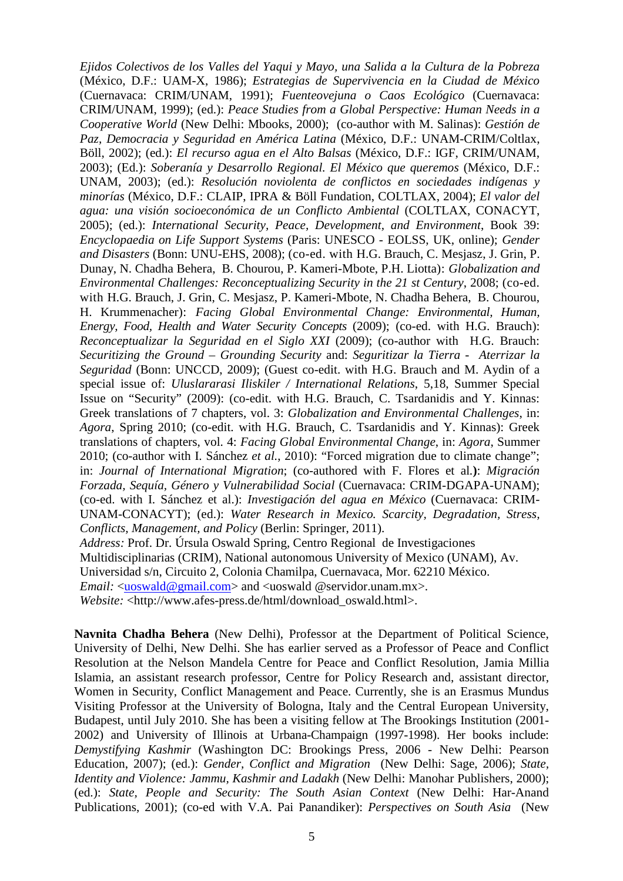*Ejidos Colectivos de los Valles del Yaqui y Mayo, una Salida a la Cultura de la Pobreza* (México, D.F.: UAM-X, 1986); *Estrategias de Supervivencia en la Ciudad de México* (Cuernavaca: CRIM/UNAM, 1991); *Fuenteovejuna o Caos Ecológico* (Cuernavaca: CRIM/UNAM, 1999); (ed.): *Peace Studies from a Global Perspective: Human Needs in a Cooperative World* (New Delhi: Mbooks, 2000); (co-author with M. Salinas): *Gestión de Paz, Democracia y Seguridad en América Latina* (México, D.F.: UNAM-CRIM/Coltlax, Böll, 2002); (ed.): *El recurso agua en el Alto Balsas* (México, D.F.: IGF, CRIM/UNAM, 2003); (Ed.): *Soberanía y Desarrollo Regional. El México que queremos* (México, D.F.: UNAM, 2003); (ed.): *Resolución noviolenta de conflictos en sociedades indígenas y minorías* (México, D.F.: CLAIP, IPRA & Böll Fundation, COLTLAX, 2004); *El valor del agua: una visión socioeconómica de un Conflicto Ambiental* (COLTLAX, CONACYT, 2005); (ed.): *International Security, Peace, Development, and Environment*, Book 39: *Encyclopaedia on Life Support Systems* (Paris: UNESCO - EOLSS, UK, online); *Gender and Disasters* (Bonn: UNU-EHS, 2008); (co-ed. with H.G. Brauch, C. Mesjasz, J. Grin, P. Dunay, N. Chadha Behera, B. Chourou, P. Kameri-Mbote, P.H. Liotta): *Globalization and Environmental Challenges: Reconceptualizing Security in the 21 st Century*, 2008; (co-ed. with H.G. Brauch, J. Grin, C. Mesjasz, P. Kameri-Mbote, N. Chadha Behera, B. Chourou, H. Krummenacher): *Facing Global Environmental Change: Environmental, Human, Energy, Food, Health and Water Security Concepts* (2009); (co-ed. with H.G. Brauch): *Reconceptualizar la Seguridad en el Siglo XXI* (2009); (co-author with H.G. Brauch: *Securitizing the Ground – Grounding Security* and: *Seguritizar la Tierra - Aterrizar la Seguridad* (Bonn: UNCCD, 2009); (Guest co-edit. with H.G. Brauch and M. Aydin of a special issue of: *Uluslararasi Iliskiler / International Relations*, 5,18, Summer Special Issue on "Security" (2009): (co-edit. with H.G. Brauch, C. Tsardanidis and Y. Kinnas: Greek translations of 7 chapters, vol. 3: *Globalization and Environmental Challenges*, in: *Agora*, Spring 2010; (co-edit. with H.G. Brauch, C. Tsardanidis and Y. Kinnas): Greek translations of chapters, vol. 4: *Facing Global Environmental Change*, in: *Agora*, Summer 2010; (co-author with I. Sánchez *et al.*, 2010): "Forced migration due to climate change"; in: *Journal of International Migration*; (co-authored with F. Flores et al*.***)**: *Migración Forzada, Sequía, Género y Vulnerabilidad Social* (Cuernavaca: CRIM-DGAPA-UNAM); (co-ed. with I. Sánchez et al.): *Investigación del agua en México* (Cuernavaca: CRIM-UNAM-CONACYT); (ed.): *Water Research in Mexico. Scarcity, Degradation, Stress, Conflicts, Management, and Policy* (Berlin: Springer, 2011). *Address:* Prof. Dr. Úrsula Oswald Spring, Centro Regional de Investigaciones Multidisciplinarias (CRIM), National autonomous University of Mexico (UNAM), Av. Universidad s/n, Circuito 2, Colonia Chamilpa, Cuernavaca, Mor. 62210 México.

*Email:* <uoswald@gmail.com> and <uoswald @servidor.unam.mx>.

*Website:* <http://www.afes-press.de/html/download\_oswald.html>.

**Navnita Chadha Behera** (New Delhi), Professor at the Department of Political Science, University of Delhi, New Delhi. She has earlier served as a Professor of Peace and Conflict Resolution at the Nelson Mandela Centre for Peace and Conflict Resolution, Jamia Millia Islamia, an assistant research professor, Centre for Policy Research and, assistant director, Women in Security, Conflict Management and Peace. Currently, she is an Erasmus Mundus Visiting Professor at the University of Bologna, Italy and the Central European University, Budapest, until July 2010. She has been a visiting fellow at The Brookings Institution (2001- 2002) and University of Illinois at Urbana-Champaign (1997-1998). Her books include: *Demystifying Kashmir* (Washington DC: Brookings Press, 2006 - New Delhi: Pearson Education, 2007); (ed.): *Gender, Conflict and Migration* (New Delhi: Sage, 2006); *State, Identity and Violence: Jammu, Kashmir and Ladakh* (New Delhi: Manohar Publishers, 2000); (ed.): *State, People and Security: The South Asian Context* (New Delhi: Har-Anand Publications, 2001); (co-ed with V.A. Pai Panandiker): *Perspectives on South Asia* (New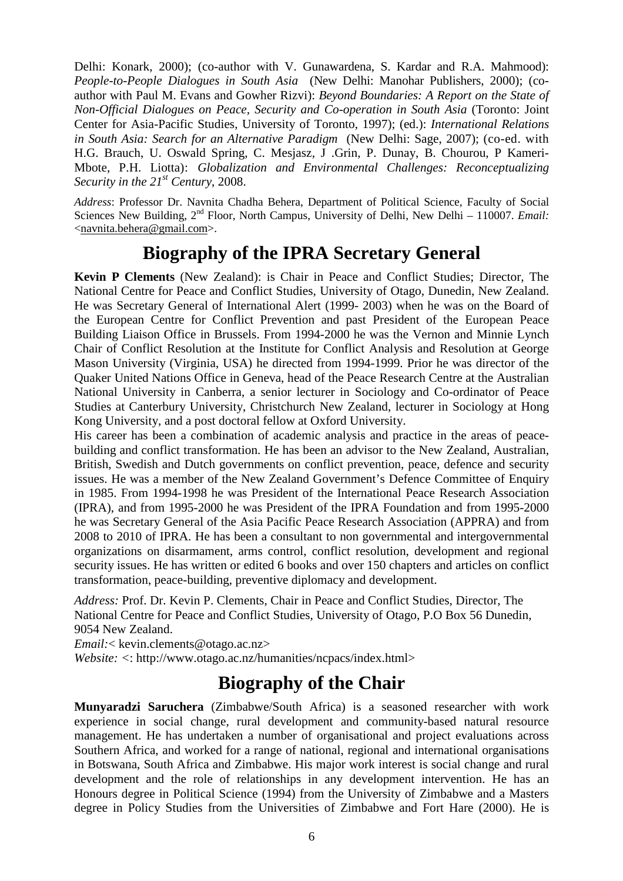Delhi: Konark, 2000); (co-author with V. Gunawardena, S. Kardar and R.A. Mahmood): *People-to-People Dialogues in South Asia* (New Delhi: Manohar Publishers, 2000); (coauthor with Paul M. Evans and Gowher Rizvi): *Beyond Boundaries: A Report on the State of Non-Official Dialogues on Peace, Security and Co-operation in South Asia* (Toronto: Joint Center for Asia-Pacific Studies, University of Toronto, 1997); (ed.): *International Relations in South Asia: Search for an Alternative Paradigm* (New Delhi: Sage, 2007); (co-ed. with H.G. Brauch, U. Oswald Spring, C. Mesjasz, J .Grin, P. Dunay, B. Chourou, P Kameri-Mbote, P.H. Liotta): *Globalization and Environmental Challenges: Reconceptualizing Security in the 21st Century*, 2008.

*Address*: Professor Dr. Navnita Chadha Behera, Department of Political Science, Faculty of Social Sciences New Building, 2<sup>nd</sup> Floor, North Campus, University of Delhi, New Delhi – 110007. *Email:* <navnita.behera@gmail.com>.

## **Biography of the IPRA Secretary General**

**Kevin P Clements** (New Zealand): is Chair in Peace and Conflict Studies; Director, The National Centre for Peace and Conflict Studies, University of Otago, Dunedin, New Zealand. He was Secretary General of International Alert (1999- 2003) when he was on the Board of the European Centre for Conflict Prevention and past President of the European Peace Building Liaison Office in Brussels. From 1994-2000 he was the Vernon and Minnie Lynch Chair of Conflict Resolution at the Institute for Conflict Analysis and Resolution at George Mason University (Virginia, USA) he directed from 1994-1999. Prior he was director of the Quaker United Nations Office in Geneva, head of the Peace Research Centre at the Australian National University in Canberra, a senior lecturer in Sociology and Co-ordinator of Peace Studies at Canterbury University, Christchurch New Zealand, lecturer in Sociology at Hong Kong University, and a post doctoral fellow at Oxford University.

His career has been a combination of academic analysis and practice in the areas of peacebuilding and conflict transformation. He has been an advisor to the New Zealand, Australian, British, Swedish and Dutch governments on conflict prevention, peace, defence and security issues. He was a member of the New Zealand Government's Defence Committee of Enquiry in 1985. From 1994-1998 he was President of the International Peace Research Association (IPRA), and from 1995-2000 he was President of the IPRA Foundation and from 1995-2000 he was Secretary General of the Asia Pacific Peace Research Association (APPRA) and from 2008 to 2010 of IPRA. He has been a consultant to non governmental and intergovernmental organizations on disarmament, arms control, conflict resolution, development and regional security issues. He has written or edited 6 books and over 150 chapters and articles on conflict transformation, peace-building, preventive diplomacy and development.

*Address:* Prof. Dr. Kevin P. Clements, Chair in Peace and Conflict Studies, Director, The National Centre for Peace and Conflict Studies, University of Otago, P.O Box 56 Dunedin, 9054 New Zealand.

*Email:*< kevin.clements@otago.ac.nz>

*Website: <*: http://www.otago.ac.nz/humanities/ncpacs/index.html>

# **Biography of the Chair**

**Munyaradzi Saruchera** (Zimbabwe/South Africa) is a seasoned researcher with work experience in social change, rural development and community-based natural resource management. He has undertaken a number of organisational and project evaluations across Southern Africa, and worked for a range of national, regional and international organisations in Botswana, South Africa and Zimbabwe. His major work interest is social change and rural development and the role of relationships in any development intervention. He has an Honours degree in Political Science (1994) from the University of Zimbabwe and a Masters degree in Policy Studies from the Universities of Zimbabwe and Fort Hare (2000). He is